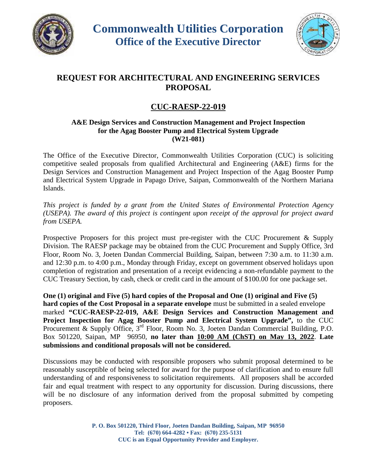



## **REQUEST FOR ARCHITECTURAL AND ENGINEERING SERVICES PROPOSAL**

## **CUC-RAESP-22-019**

## **A&E Design Services and Construction Management and Project Inspection for the Agag Booster Pump and Electrical System Upgrade (W21-081)**

The Office of the Executive Director, Commonwealth Utilities Corporation (CUC) is soliciting competitive sealed proposals from qualified Architectural and Engineering (A&E) firms for the Design Services and Construction Management and Project Inspection of the Agag Booster Pump and Electrical System Upgrade in Papago Drive, Saipan, Commonwealth of the Northern Mariana Islands.

*This project is funded by a grant from the United States of Environmental Protection Agency (USEPA). The award of this project is contingent upon receipt of the approval for project award from USEPA.*

Prospective Proposers for this project must pre-register with the CUC Procurement & Supply Division. The RAESP package may be obtained from the CUC Procurement and Supply Office, 3rd Floor, Room No. 3, Joeten Dandan Commercial Building, Saipan, between 7:30 a.m. to 11:30 a.m. and 12:30 p.m. to 4:00 p.m., Monday through Friday, except on government observed holidays upon completion of registration and presentation of a receipt evidencing a non-refundable payment to the CUC Treasury Section, by cash, check or credit card in the amount of \$100.00 for one package set.

**One (1) original and Five (5) hard copies of the Proposal and One (1) original and Five (5) hard copies of the Cost Proposal in a separate envelope** must be submitted in a sealed envelope marked **"CUC-RAESP-22-019, A&E Design Services and Construction Management and Project Inspection for Agag Booster Pump and Electrical System Upgrade",** to the CUC Procurement & Supply Office, 3<sup>rd</sup> Floor, Room No. 3, Joeten Dandan Commercial Building, P.O. Box 501220, Saipan, MP 96950, **no later than 10:00 AM (ChST) on May 13, 2022**. **Late submissions and conditional proposals will not be considered.**

Discussions may be conducted with responsible proposers who submit proposal determined to be reasonably susceptible of being selected for award for the purpose of clarification and to ensure full understanding of and responsiveness to solicitation requirements. All proposers shall be accorded fair and equal treatment with respect to any opportunity for discussion. During discussions, there will be no disclosure of any information derived from the proposal submitted by competing proposers.

> **P. O. Box 501220, Third Floor, Joeten Dandan Building, Saipan, MP 96950 Tel: (670) 664-4282 • Fax: (670) 235-5131 CUC is an Equal Opportunity Provider and Employer.**